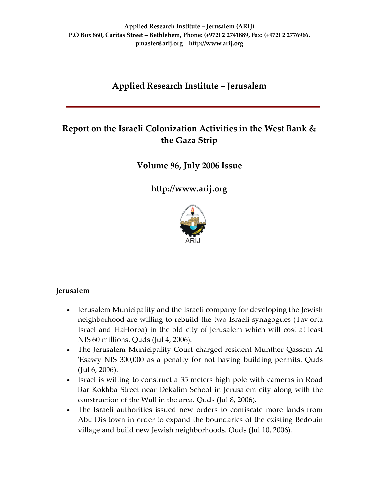# **Applied Research Institute – Jerusalem**

# **Report on the Israeli Colonization Activities in the West Bank & the Gaza Strip**

**Volume 96, July 2006 Issue**

**[http://www.arij.org](http://www.arij.org/)**



# **Jerusalem**

- Jerusalem Municipality and the Israeli company for developing the Jewish neighborhood are willing to rebuild the two Israeli synagogues (Tavʹorta Israel and HaHorba) in the old city of Jerusalem which will cost at least NIS 60 millions. Quds (Jul 4, 2006).
- The Jerusalem Municipality Court charged resident Munther Qassem Al ʹEsawy NIS 300,000 as a penalty for not having building permits. Quds (Jul 6, 2006).
- Israel is willing to construct a 35 meters high pole with cameras in Road Bar Kokhba Street near Dekalim School in Jerusalem city along with the construction of the Wall in the area. Quds (Jul 8, 2006).
- The Israeli authorities issued new orders to confiscate more lands from Abu Dis town in order to expand the boundaries of the existing Bedouin village and build new Jewish neighborhoods. Quds (Jul 10, 2006).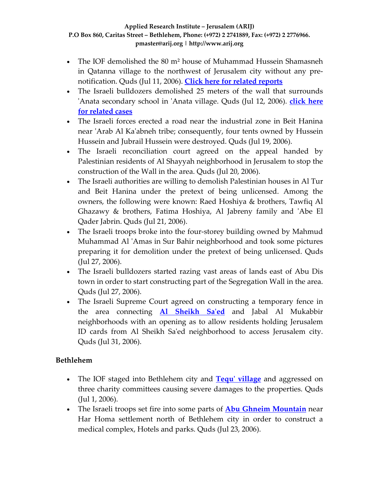- The IOF demolished the 80 m² house of Muhammad Hussein Shamasneh in Qatanna village to the northwest of Jerusalem city without any pre‐ notification. Quds (Jul 11, 2006). **Click here for related [reports](http://www.poica.org/editor/case_studies/view.php?recordID=846)**
- The Israeli bulldozers demolished 25 meters of the wall that surrounds ʹAnata secondary school in ʹAnata village. Quds (Jul 12, 2006). **[click](http://www.poica.org/editor/case_studies/view.php?recordID=661) here for [related](http://www.poica.org/editor/case_studies/view.php?recordID=661) cases**
- The Israeli forces erected a road near the industrial zone in Beit Hanina near 'Arab Al Ka'abneh tribe; consequently, four tents owned by Hussein Hussein and Jubrail Hussein were destroyed. Quds (Jul 19, 2006).
- The Israeli reconciliation court agreed on the appeal handed by Palestinian residents of Al Shayyah neighborhood in Jerusalem to stop the construction of the Wall in the area. Quds (Jul 20, 2006).
- The Israeli authorities are willing to demolish Palestinian houses in Al Tur and Beit Hanina under the pretext of being unlicensed. Among the owners, the following were known: Raed Hoshiya & brothers, Tawfiq Al Ghazawy & brothers, Fatima Hoshiya, Al Jabreny family and ʹAbe El Qader Jabrin. Quds (Jul 21, 2006).
- The Israeli troops broke into the four-storey building owned by Mahmud Muhammad Al ʹAmas in Sur Bahir neighborhood and took some pictures preparing it for demolition under the pretext of being unlicensed. Quds (Jul 27, 2006).
- The Israeli bulldozers started razing vast areas of lands east of Abu Dis town in order to start constructing part of the Segregation Wall in the area. Quds (Jul 27, 2006).
- The Israeli Supreme Court agreed on constructing a temporary fence in the area connecting **Al [Sheikh](http://www.poica.org/editor/case_studies/view.php?recordID=829) Saʹed** and Jabal Al Mukabbir neighborhoods with an opening as to allow residents holding Jerusalem ID cards from Al Sheikh Saʹed neighborhood to access Jerusalem city. Quds (Jul 31, 2006).

# **Bethlehem**

- The IOF staged into Bethlehem city and **Tequ' [village](http://www.poica.org/editor/case_studies/view.php?recordID=830)** and aggressed on three charity committees causing severe damages to the properties. Quds (Jul 1, 2006).
- The Israeli troops set fire into some parts of **Abu Ghneim [Mountain](http://www.arij.org/index.php?option=com_content&task=view&id=175&Itemid=26&lang=en)** near Har Homa settlement north of Bethlehem city in order to construct a medical complex, Hotels and parks. Quds (Jul 23, 2006).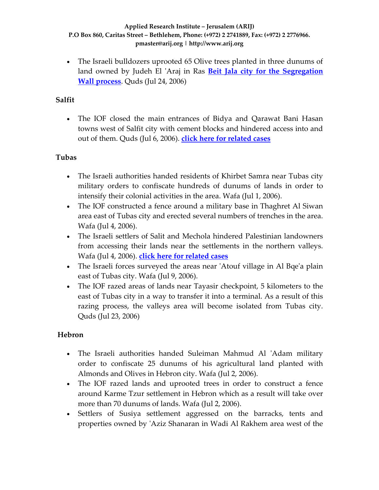• The Israeli bulldozers uprooted 65 Olive trees planted in three dunums of land owned by Judeh El ʹAraj in Ras **Beit Jala city for the [Segregation](http://www.poica.org/editor/case_studies/view.php?recordID=849) Wall [process](http://www.poica.org/editor/case_studies/view.php?recordID=849)**. Quds (Jul 24, 2006)

# **Salfit**

• The IOF closed the main entrances of Bidya and Qarawat Bani Hasan towns west of Salfit city with cement blocks and hindered access into and out of them. Quds (Jul 6, 2006). **click here for [related](http://www.poica.org/editor/case_studies/view.php?recordID=843) cases**

# **Tubas**

- The Israeli authorities handed residents of Khirbet Samra near Tubas city military orders to confiscate hundreds of dunums of lands in order to intensify their colonial activities in the area. Wafa (Jul 1, 2006).
- The IOF constructed a fence around a military base in Thaghret Al Siwan area east of Tubas city and erected several numbers of trenches in the area. Wafa (Jul 4, 2006).
- The Israeli settlers of Salit and Mechola hindered Palestinian landowners from accessing their lands near the settlements in the northern valleys. Wafa (Jul 4, 2006). **click here for [related](http://www.poica.org/editor/case_studies/view.php?recordID=745) cases**
- The Israeli forces surveyed the areas near 'Atouf village in Al Bqe'a plain east of Tubas city. Wafa (Jul 9, 2006).
- The IOF razed areas of lands near Tayasir checkpoint, 5 kilometers to the east of Tubas city in a way to transfer it into a terminal. As a result of this razing process, the valleys area will become isolated from Tubas city. Quds (Jul 23, 2006)

# **Hebron**

- The Israeli authorities handed Suleiman Mahmud Al ʹAdam military order to confiscate 25 dunums of his agricultural land planted with Almonds and Olives in Hebron city. Wafa (Jul 2, 2006).
- The IOF razed lands and uprooted trees in order to construct a fence around Karme Tzur settlement in Hebron which as a result will take over more than 70 dunums of lands. Wafa (Jul 2, 2006).
- Settlers of Susiya settlement aggressed on the barracks, tents and properties owned by ʹAziz Shanaran in Wadi Al Rakhem area west of the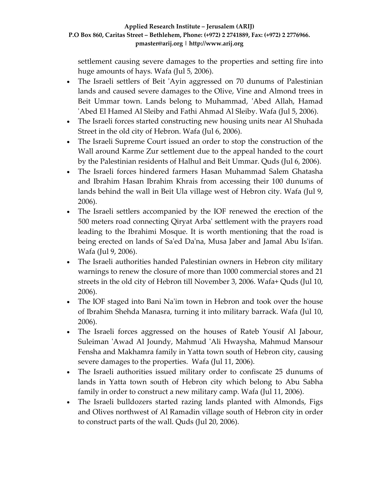settlement causing severe damages to the properties and setting fire into huge amounts of hays. Wafa (Jul 5, 2006).

- The Israeli settlers of Beit 'Ayin aggressed on 70 dunums of Palestinian lands and caused severe damages to the Olive, Vine and Almond trees in Beit Ummar town. Lands belong to Muhammad, 'Abed Allah, Hamad ʹAbed El Hamed Al Sleiby and Fathi Ahmad Al Sleiby. Wafa (Jul 5, 2006).
- The Israeli forces started constructing new housing units near Al Shuhada Street in the old city of Hebron. Wafa (Jul 6, 2006).
- The Israeli Supreme Court issued an order to stop the construction of the Wall around Karme Zur settlement due to the appeal handed to the court by the Palestinian residents of Halhul and Beit Ummar. Quds (Jul 6, 2006).
- The Israeli forces hindered farmers Hasan Muhammad Salem Ghatasha and Ibrahim Hasan Ibrahim Khrais from accessing their 100 dunums of lands behind the wall in Beit Ula village west of Hebron city. Wafa (Jul 9, 2006).
- The Israeli settlers accompanied by the IOF renewed the erection of the 500 meters road connecting Qiryat Arbaʹ settlement with the prayers road leading to the Ibrahimi Mosque. It is worth mentioning that the road is being erected on lands of Sa'ed Da'na, Musa Jaber and Jamal Abu Is'ifan. Wafa (Jul 9, 2006).
- The Israeli authorities handed Palestinian owners in Hebron city military warnings to renew the closure of more than 1000 commercial stores and 21 streets in the old city of Hebron till November 3, 2006. Wafa+ Quds (Jul 10, 2006).
- The IOF staged into Bani Na'im town in Hebron and took over the house of Ibrahim Shehda Manasra, turning it into military barrack. Wafa (Jul 10, 2006).
- The Israeli forces aggressed on the houses of Rateb Yousif Al Jabour, Suleiman 'Awad Al Joundy, Mahmud 'Ali Hwaysha, Mahmud Mansour Fensha and Makhamra family in Yatta town south of Hebron city, causing severe damages to the properties. Wafa (Jul 11, 2006).
- The Israeli authorities issued military order to confiscate 25 dunums of lands in Yatta town south of Hebron city which belong to Abu Sabha family in order to construct a new military camp. Wafa (Jul 11, 2006).
- The Israeli bulldozers started razing lands planted with Almonds, Figs and Olives northwest of Al Ramadin village south of Hebron city in order to construct parts of the wall. Quds (Jul 20, 2006).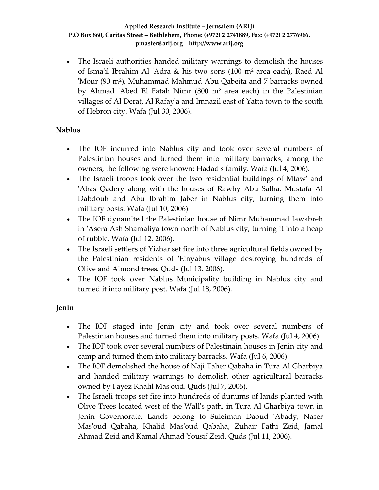• The Israeli authorities handed military warnings to demolish the houses of Isma'il Ibrahim Al 'Adra & his two sons (100 m<sup>2</sup> area each), Raed Al 'Mour (90 m<sup>2</sup>), Muhammad Mahmud Abu Qabeita and 7 barracks owned by Ahmad 'Abed El Fatah Nimr (800 m<sup>2</sup> area each) in the Palestinian villages of Al Derat, Al Rafayʹa and Imnazil east of Yatta town to the south of Hebron city. Wafa (Jul 30, 2006).

# **Nablus**

- The IOF incurred into Nablus city and took over several numbers of Palestinian houses and turned them into military barracks; among the owners, the following were known: Hadadʹs family. Wafa (Jul 4, 2006).
- The Israeli troops took over the two residential buildings of Mtaw' and 'Abas Qadery along with the houses of Rawhy Abu Salha, Mustafa Al Dabdoub and Abu Ibrahim Jaber in Nablus city, turning them into military posts. Wafa (Jul 10, 2006).
- The IOF dynamited the Palestinian house of Nimr Muhammad Jawabreh in 'Asera Ash Shamaliya town north of Nablus city, turning it into a heap of rubble. Wafa (Jul 12, 2006).
- The Israeli settlers of Yizhar set fire into three agricultural fields owned by the Palestinian residents of 'Einyabus village destroying hundreds of Olive and Almond trees. Quds (Jul 13, 2006).
- The IOF took over Nablus Municipality building in Nablus city and turned it into military post. Wafa (Jul 18, 2006).

# **Jenin**

- The IOF staged into Jenin city and took over several numbers of Palestinian houses and turned them into military posts. Wafa (Jul 4, 2006).
- The IOF took over several numbers of Palestinain houses in Jenin city and camp and turned them into military barracks. Wafa (Jul 6, 2006).
- The IOF demolished the house of Naji Taher Qabaha in Tura Al Gharbiya and handed military warnings to demolish other agricultural barracks owned by Fayez Khalil Masʹoud. Quds (Jul 7, 2006).
- The Israeli troops set fire into hundreds of dunums of lands planted with Olive Trees located west of the Wallʹs path, in Tura Al Gharbiya town in Jenin Governorate. Lands belong to Suleiman Daoud 'Abady, Naser Masʹoud Qabaha, Khalid Masʹoud Qabaha, Zuhair Fathi Zeid, Jamal Ahmad Zeid and Kamal Ahmad Yousif Zeid. Quds (Jul 11, 2006).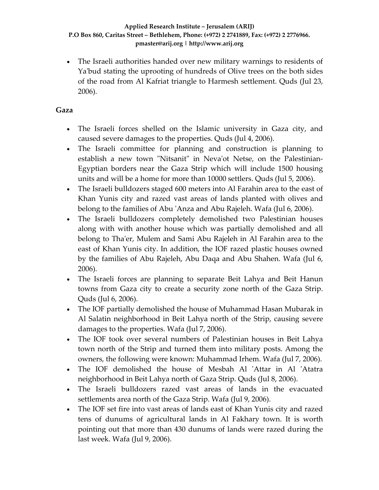• The Israeli authorities handed over new military warnings to residents of Yaʹbud stating the uprooting of hundreds of Olive trees on the both sides of the road from Al Kafriat triangle to Harmesh settlement. Quds (Jul 23, 2006).

## **Gaza**

- The Israeli forces shelled on the Islamic university in Gaza city, and caused severe damages to the properties. Quds (Jul 4, 2006).
- The Israeli committee for planning and construction is planning to establish a new town "Nitsanit" in Neva'ot Netse, on the Palestinian-Egyptian borders near the Gaza Strip which will include 1500 housing units and will be a home for more than 10000 settlers. Quds (Jul 5, 2006).
- The Israeli bulldozers staged 600 meters into Al Farahin area to the east of Khan Yunis city and razed vast areas of lands planted with olives and belong to the families of Abu ʹAnza and Abu Rajeleh. Wafa (Jul 6, 2006).
- The Israeli bulldozers completely demolished two Palestinian houses along with with another house which was partially demolished and all belong to Tha'er, Mulem and Sami Abu Rajeleh in Al Farahin area to the east of Khan Yunis city. In addition, the IOF razed plastic houses owned by the families of Abu Rajeleh, Abu Daqa and Abu Shahen. Wafa (Jul 6, 2006).
- The Israeli forces are planning to separate Beit Lahya and Beit Hanun towns from Gaza city to create a security zone north of the Gaza Strip. Quds (Jul 6, 2006).
- The IOF partially demolished the house of Muhammad Hasan Mubarak in Al Salatin neighborhood in Beit Lahya north of the Strip, causing severe damages to the properties. Wafa (Jul 7, 2006).
- The IOF took over several numbers of Palestinian houses in Beit Lahya town north of the Strip and turned them into military posts. Among the owners, the following were known: Muhammad Irhem. Wafa (Jul 7, 2006).
- The IOF demolished the house of Mesbah Al ʹAttar in Al ʹAtatra neighborhood in Beit Lahya north of Gaza Strip. Quds (Jul 8, 2006).
- The Israeli bulldozers razed vast areas of lands in the evacuated settlements area north of the Gaza Strip. Wafa (Jul 9, 2006).
- The IOF set fire into vast areas of lands east of Khan Yunis city and razed tens of dunums of agricultural lands in Al Fakhary town. It is worth pointing out that more than 430 dunums of lands were razed during the last week. Wafa (Jul 9, 2006).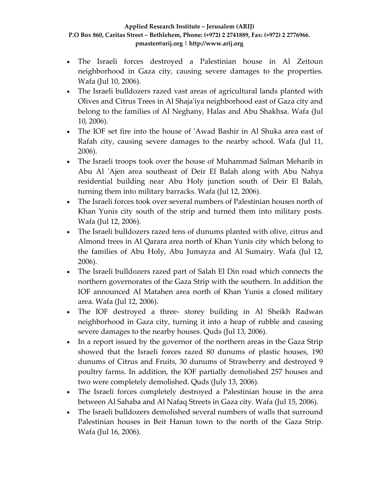- The Israeli forces destroyed a Palestinian house in Al Zeitoun neighborhood in Gaza city, causing severe damages to the properties. Wafa (Jul 10, 2006).
- The Israeli bulldozers razed vast areas of agricultural lands planted with Olives and Citrus Trees in Al Shajaʹiya neighborhood east of Gaza city and belong to the families of Al Neghany, Halas and Abu Shakhsa. Wafa (Jul 10, 2006).
- The IOF set fire into the house of 'Awad Bashir in Al Shuka area east of Rafah city, causing severe damages to the nearby school. Wafa (Jul 11, 2006).
- The Israeli troops took over the house of Muhammad Salman Meharib in Abu Al 'Ajen area southeast of Deir El Balah along with Abu Nahya residential building near Abu Holy junction south of Deir El Balah, turning them into military barracks. Wafa (Jul 12, 2006).
- The Israeli forces took over several numbers of Palestinian houses north of Khan Yunis city south of the strip and turned them into military posts. Wafa (Jul 12, 2006).
- The Israeli bulldozers razed tens of dunums planted with olive, citrus and Almond trees in Al Qarara area north of Khan Yunis city which belong to the families of Abu Holy, Abu Jumayza and Al Sumairy. Wafa (Jul 12, 2006).
- The Israeli bulldozers razed part of Salah El Din road which connects the northern governorates of the Gaza Strip with the southern. In addition the IOF announced Al Matahen area north of Khan Yunis a closed military area. Wafa (Jul 12, 2006).
- The IOF destroyed a three- storey building in Al Sheikh Radwan neighborhood in Gaza city, turning it into a heap of rubble and causing severe damages to the nearby houses. Quds (Jul 13, 2006).
- In a report issued by the governor of the northern areas in the Gaza Strip showed that the Israeli forces razed 80 dunums of plastic houses, 190 dunums of Citrus and Fruits, 30 dunums of Strawberry and destroyed 9 poultry farms. In addition, the IOF partially demolished 257 houses and two were completely demolished. Quds (July 13, 2006).
- The Israeli forces completely destroyed a Palestinian house in the area between Al Sahaba and Al Nafaq Streets in Gaza city. Wafa (Jul 15, 2006).
- The Israeli bulldozers demolished several numbers of walls that surround Palestinian houses in Beit Hanun town to the north of the Gaza Strip. Wafa (Jul 16, 2006).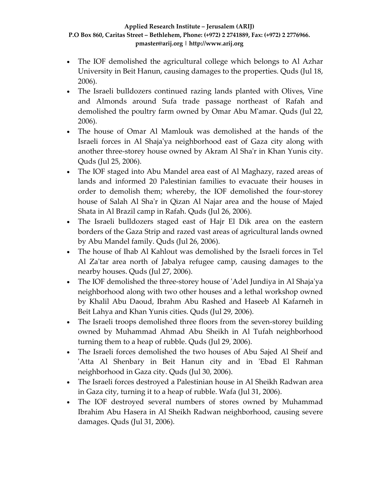- The IOF demolished the agricultural college which belongs to Al Azhar University in Beit Hanun, causing damages to the properties. Quds (Jul 18, 2006).
- The Israeli bulldozers continued razing lands planted with Olives, Vine and Almonds around Sufa trade passage northeast of Rafah and demolished the poultry farm owned by Omar Abu Mʹamar. Quds (Jul 22, 2006).
- The house of Omar Al Mamlouk was demolished at the hands of the Israeli forces in Al Shajaʹya neighborhood east of Gaza city along with another three-storey house owned by Akram Al Sha'r in Khan Yunis city. Quds (Jul 25, 2006).
- The IOF staged into Abu Mandel area east of Al Maghazy, razed areas of lands and informed 20 Palestinian families to evacuate their houses in order to demolish them; whereby, the IOF demolished the four‐storey house of Salah Al Shaʹr in Qizan Al Najar area and the house of Majed Shata in Al Brazil camp in Rafah. Quds (Jul 26, 2006).
- The Israeli bulldozers staged east of Hajr El Dik area on the eastern borders of the Gaza Strip and razed vast areas of agricultural lands owned by Abu Mandel family. Quds (Jul 26, 2006).
- The house of Ihab Al Kahlout was demolished by the Israeli forces in Tel Al Za'tar area north of Jabalya refugee camp, causing damages to the nearby houses. Quds (Jul 27, 2006).
- The IOF demolished the three‐storey house of ʹAdel Jundiya in Al Shajaʹya neighborhood along with two other houses and a lethal workshop owned by Khalil Abu Daoud, Ibrahm Abu Rashed and Haseeb Al Kafarneh in Beit Lahya and Khan Yunis cities. Quds (Jul 29, 2006).
- The Israeli troops demolished three floors from the seven-storey building owned by Muhammad Ahmad Abu Sheikh in Al Tufah neighborhood turning them to a heap of rubble. Quds (Jul 29, 2006).
- The Israeli forces demolished the two houses of Abu Sajed Al Sheif and 'Atta Al Shenbary in Beit Hanun city and in 'Ebad El Rahman neighborhood in Gaza city. Quds (Jul 30, 2006).
- The Israeli forces destroyed a Palestinian house in Al Sheikh Radwan area in Gaza city, turning it to a heap of rubble. Wafa (Jul 31, 2006).
- The IOF destroyed several numbers of stores owned by Muhammad Ibrahim Abu Hasera in Al Sheikh Radwan neighborhood, causing severe damages. Quds (Jul 31, 2006).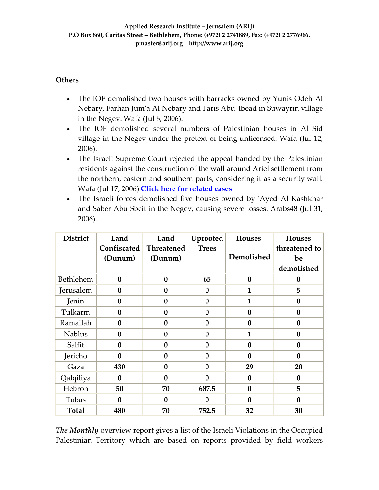### **Others**

- The IOF demolished two houses with barracks owned by Yunis Odeh Al Nebary, Farhan Jumʹa Al Nebary and Faris Abu ʹIbead in Suwayrin village in the Negev. Wafa (Jul 6, 2006).
- The IOF demolished several numbers of Palestinian houses in Al Sid village in the Negev under the pretext of being unlicensed. Wafa (Jul 12, 2006).
- The Israeli Supreme Court rejected the appeal handed by the Palestinian residents against the construction of the wall around Ariel settlement from the northern, eastern and southern parts, considering it as a security wall. Wafa (Jul 17, 2006).**Click here for [related](http://www.poica.org./editor/case_studies/view.php?recordID=843) cases**
- The Israeli forces demolished five houses owned by 'Ayed Al Kashkhar and Saber Abu Sbeit in the Negev, causing severe losses. Arabs48 (Jul 31, 2006).

| <b>District</b> | Land<br>Confiscated<br>(Dunum) | Land<br><b>Threatened</b><br>(Dunum) | Uprooted<br><b>Trees</b> | <b>Houses</b><br>Demolished | <b>Houses</b><br>threatened to<br>be<br>demolished |
|-----------------|--------------------------------|--------------------------------------|--------------------------|-----------------------------|----------------------------------------------------|
| Bethlehem       | $\mathbf{0}$                   | $\bf{0}$                             | 65                       | $\bf{0}$                    | $\bf{0}$                                           |
| Jerusalem       | $\boldsymbol{0}$               | $\bf{0}$                             | $\bf{0}$                 | 1                           | 5                                                  |
| Jenin           | $\bf{0}$                       | $\bf{0}$                             | $\bf{0}$                 | 1                           | $\bf{0}$                                           |
| Tulkarm         | $\bf{0}$                       | $\bf{0}$                             | $\bf{0}$                 | $\bf{0}$                    | $\bf{0}$                                           |
| Ramallah        | $\bf{0}$                       | $\boldsymbol{0}$                     | $\bf{0}$                 | $\bf{0}$                    | $\bf{0}$                                           |
| <b>Nablus</b>   | $\bf{0}$                       | $\boldsymbol{0}$                     | $\bf{0}$                 | $\mathbf{1}$                | $\bf{0}$                                           |
| Salfit          | $\bf{0}$                       | $\bf{0}$                             | $\bf{0}$                 | $\bf{0}$                    | $\bf{0}$                                           |
| Jericho         | $\mathbf{0}$                   | $\mathbf{0}$                         | $\mathbf{0}$             | $\bf{0}$                    | $\mathbf{0}$                                       |
| Gaza            | 430                            | $\bf{0}$                             | $\bf{0}$                 | 29                          | 20                                                 |
| Qalqiliya       | $\mathbf{0}$                   | $\boldsymbol{0}$                     | $\bf{0}$                 | $\bf{0}$                    | $\bf{0}$                                           |
| Hebron          | 50                             | 70                                   | 687.5                    | $\bf{0}$                    | 5                                                  |
| Tubas           | $\bf{0}$                       | $\bf{0}$                             | 0                        | $\bf{0}$                    | $\bf{0}$                                           |
| <b>Total</b>    | 480                            | 70                                   | 752.5                    | 32                          | 30                                                 |

*The Monthly* overview report gives a list of the Israeli Violations in the Occupied Palestinian Territory which are based on reports provided by field workers